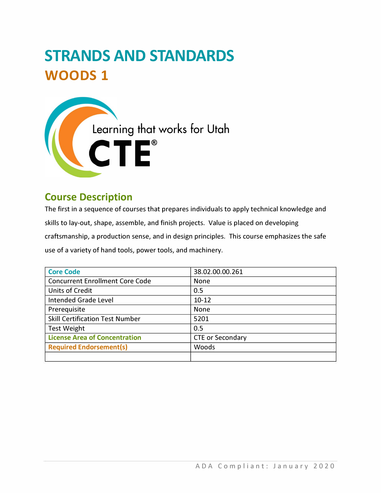# **STRANDS AND STANDARDS WOODS 1**



# **Course Description**

The first in a sequence of courses that prepares individuals to apply technical knowledge and skills to lay-out, shape, assemble, and finish projects. Value is placed on developing craftsmanship, a production sense, and in design principles. This course emphasizes the safe use of a variety of hand tools, power tools, and machinery.

| <b>Core Code</b>                       | 38.02.00.00.261         |
|----------------------------------------|-------------------------|
| <b>Concurrent Enrollment Core Code</b> | <b>None</b>             |
| <b>Units of Credit</b>                 | 0.5                     |
| Intended Grade Level                   | $10 - 12$               |
| Prerequisite                           | <b>None</b>             |
| <b>Skill Certification Test Number</b> | 5201                    |
| <b>Test Weight</b>                     | 0.5                     |
| <b>License Area of Concentration</b>   | <b>CTE or Secondary</b> |
| <b>Required Endorsement(s)</b>         | <b>Woods</b>            |
|                                        |                         |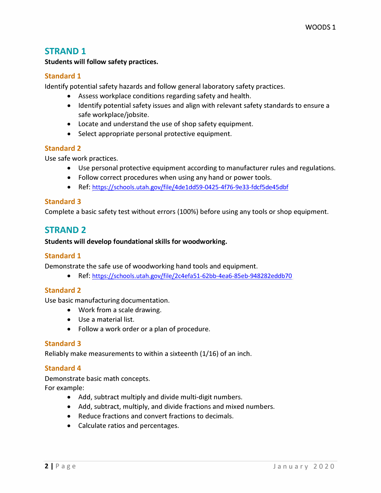## **STRAND 1**

**Students will follow safety practices.** 

#### **Standard 1**

**Identify potential safety hazards and follow general laboratory safety practices.** 

- **Assess workplace conditions regarding safety and health.**
- **Identify potential safety issues and align with relevant safety standards to ensure a safe workplace/jobsite.**
- **Locate and understand the use of shop safety equipment.**
- **Select appropriate personal protective equipment.**

#### **Standard 2**

**Use safe work practices.** 

- **Use personal protective equipment according to manufacturer rules and regulations.**
- **Follow correct procedures when using any hand or power tools.**
- **Ref: [https://schools.utah.gov/file/4deldd59-0425-4f76-9e33-fdcf5de45dbf](https://schools.utah.gov/file/4de1dd59-0425-4f76-9e33-fdcf5de45dbf)**

#### **Standard 3**

**Complete a basic safety test without errors (100%) before using any tools or shop equipment.** 

# **STRAND 2**

#### **Students will develop foundational skills for woodworking.**

#### **Standard 1**

**Demonstrate the safe use of woodworking hand tools and equipment.** 

**• Ref:<https://schools.utah.gov/file/2c4efa51-62bb-4ea6-85eb-948282eddb70>**

#### **Standard 2**

**Use basic manufacturing documentation.** 

- **Work from a scale drawing.**
- **Use a material list.**
- **Follow a work order or a plan of procedure.**

#### **Standard 3**

**Reliably make measurements to within a sixteenth (1/16) of an inch.** 

#### **Standard 4**

**Demonstrate basic math concepts.** 

**For example:** 

- **Add, subtract multiply and divide multi-digit numbers.**
- **Add, subtract, multiply, and divide fractions and mixed numbers.**
- **Reduce fractions and convert fractions to decimals.**
- **Calculate ratios and percentages.**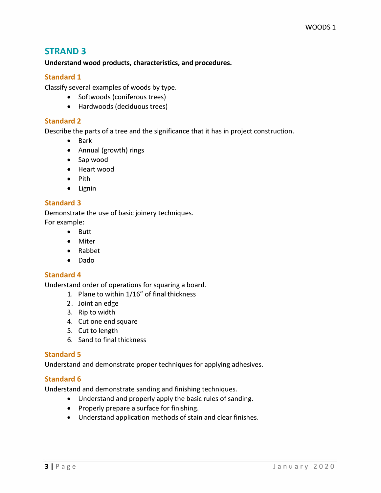## **STRAND 3**

**Understand wood products, characteristics, and procedures.** 

#### **Standard 1**

**Classify several examples of woods by type.** 

- **Softwoods (coniferous trees)**
- **Hardwoods (deciduous trees)**

#### **Standard 2**

**Describe the parts of a tree and the significance that it has in project construction.** 

- **Bark**
- **Annual (growth) rings**
- **Sap wood**
- **Heart wood**
- **Pith**
- **Lignin**

#### **Standard 3**

**Demonstrate the use of basic joinery techniques. For example:** 

- **Butt**
- **Miter**
- **Rabbet**
- **Dado**

#### **Standard 4**

**Understand order of operations for squaring a board.** 

- **1. Plane to within 1/16" of final thickness**
- **2. Joint an edge**
- **3. Rip to width**
- **4. Cut one end square**
- **5. Cut to length**
- **6. Sand to final thickness**

#### **Standard 5**

**Understand and demonstrate proper techniques for applying adhesives.** 

#### **Standard 6**

**Understand and demonstrate sanding and finishing techniques.** 

- **Understand and properly apply the basic rules of sanding.**
- **Properly prepare a surface for finishing.**
- **Understand application methods of stain and clear finishes.**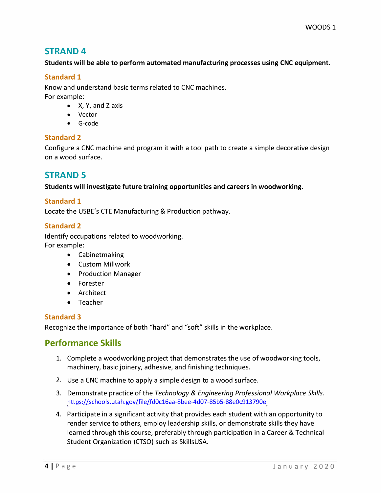## **STRAND 4**

#### **Students will be able to perform automated manufacturing processes using CNC equipment.**

#### **Standard 1**

**Know and understand basic terms related to CNC machines. For example:** 

- **X, Y, and Z axis**
- **Vector**
- **G-code**

#### **Standard 2**

**Configure a CNC machine and program it with a tool path to create a simple decorative design on a wood surface.** 

# **STRAND 5**

**Students will investigate future training opportunities and careers in woodworking.** 

#### **Standard 1**

**Locate the USBE's CTE Manufacturing & Production pathway.** 

#### **Standard 2**

**Identify occupations related to woodworking. For example:** 

- **Cabinetmaking**
- **Custom Millwork**
- **Production Manager**
- **Forester**
- **Architect**
- **Teacher**

#### **Standard 3**

**Recognize the importance of both "hard" and "soft" skills in the workplace.** 

# **Performance Skills**

- **1. Complete a woodworking project that demonstrates the use of woodworking tools, machinery, basic joinery, adhesive, and finishing techniques.**
- **2. Use a CNC machine to apply a simple design to a wood surface.**
- **3. Demonstrate practice of the** *Technology* **&** *Engineering Professional Workplace Skills.*  **<https://schools.utah.gov/file/fd0c16aa-8bee-4d07-85b5-88e0c913790e>**
- **4. Participate in a significant activity that provides each student with an opportunity to render service to others, employ leadership skills, or demonstrate skills they have learned through this course, preferably through participation in a Career & Technical Student Organization (CTSO) such as SkillsUSA.**